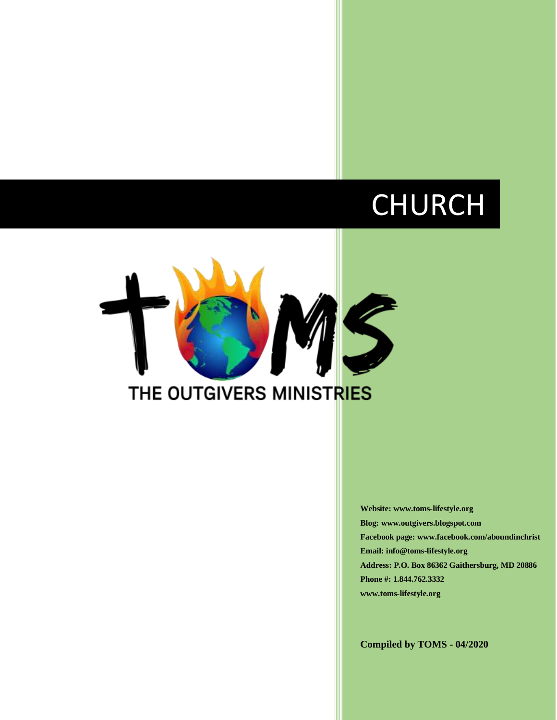# CHURCH



**Website: www.toms-lifestyle.org Blog: www.outgivers.blogspot.com Facebook page: www.facebook.com/aboundinchrist Email: info@toms-lifestyle.org Address: P.O. Box 86362 Gaithersburg, MD 20886 Phone #: 1.844.762.3332 www.toms-lifestyle.org**

**Compiled by TOMS - 04/2020**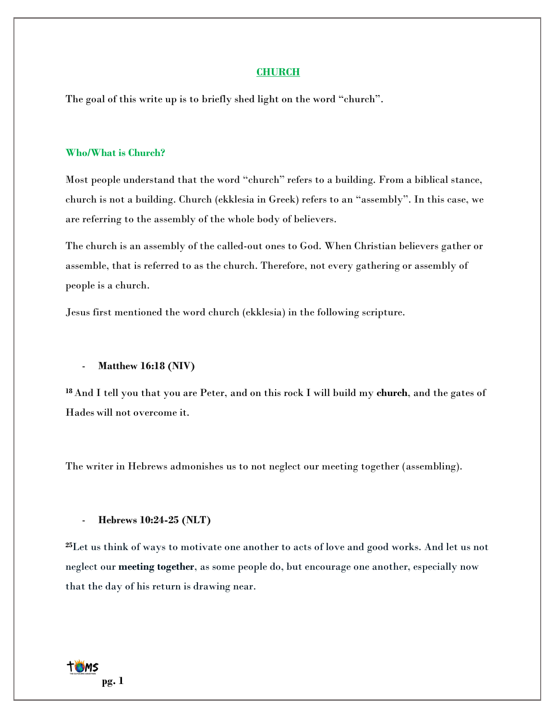#### **CHURCH**

The goal of this write up is to briefly shed light on the word "church".

# **Who/What is Church?**

Most people understand that the word "church" refers to a building. From a biblical stance, church is not a building. Church (ekklesia in Greek) refers to an "assembly". In this case, we are referring to the assembly of the whole body of believers.

The church is an assembly of the called-out ones to God. When Christian believers gather or assemble, that is referred to as the church. Therefore, not every gathering or assembly of people is a church.

Jesus first mentioned the word church (ekklesia) in the following scripture.

## - **Matthew 16:18 (NIV)**

**<sup>18</sup>** And I tell you that you are Peter, and on this rock I will build my **church**, and the gates of Hades will not overcome it.

The writer in Hebrews admonishes us to not neglect our meeting together (assembling).

- **Hebrews 10:24-25 (NLT)**

**<sup>25</sup>**Let us think of ways to motivate one another to acts of love and good works. And let us not neglect our **meeting together**, as some people do, but encourage one another, especially now that the day of his return is drawing near.

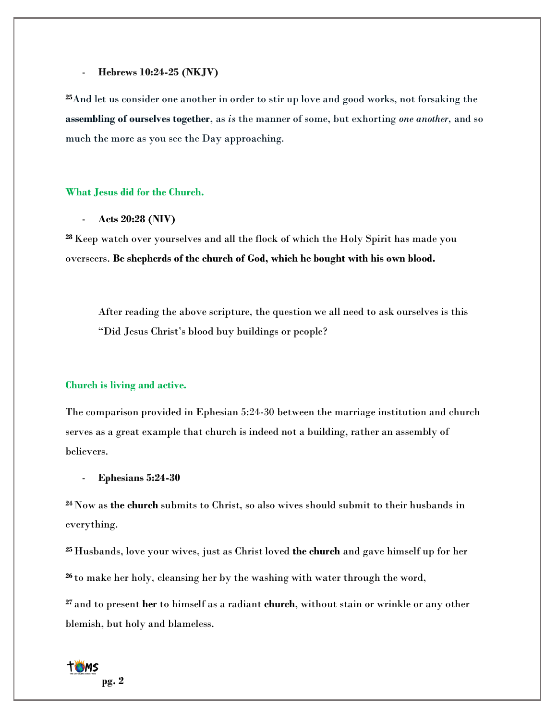#### - **Hebrews 10:24-25 (NKJV)**

**<sup>25</sup>**And let us consider one another in order to stir up love and good works, not forsaking the **assembling of ourselves together**, as *is* the manner of some, but exhorting *one another,* and so much the more as you see the Day approaching.

# **What Jesus did for the Church.**

- **Acts 20:28 (NIV)**

**<sup>28</sup>**Keep watch over yourselves and all the flock of which the Holy Spirit has made you overseers. **Be shepherds of the church of God, which he bought with his own blood.**

After reading the above scripture, the question we all need to ask ourselves is this "Did Jesus Christ's blood buy buildings or people?

#### **Church is living and active.**

The comparison provided in Ephesian 5:24-30 between the marriage institution and church serves as a great example that church is indeed not a building, rather an assembly of believers.

- **Ephesians 5:24-30**

**<sup>24</sup>** Now as **the church** submits to Christ, so also wives should submit to their husbands in everything.

**<sup>25</sup>** Husbands, love your wives, just as Christ loved **the church** and gave himself up for her **<sup>26</sup>** to make her holy, cleansing her by the washing with water through the word,

**<sup>27</sup>** and to present **her** to himself as a radiant **church**, without stain or wrinkle or any other blemish, but holy and blameless.

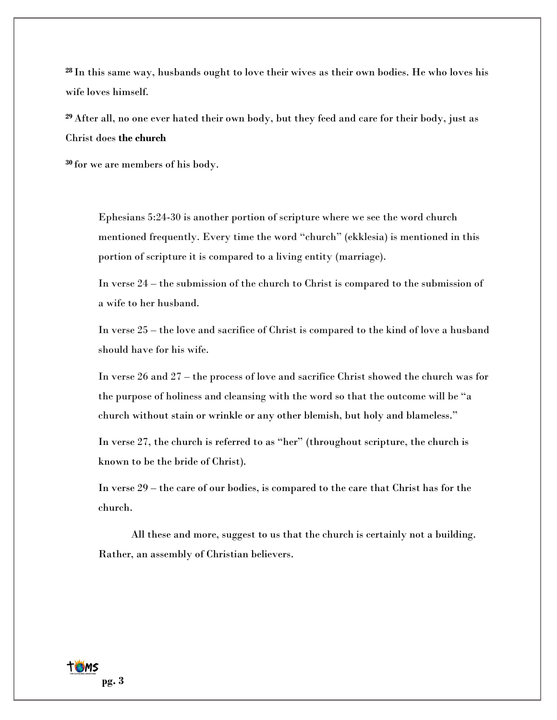**<sup>28</sup>** In this same way, husbands ought to love their wives as their own bodies. He who loves his wife loves himself.

**<sup>29</sup>** After all, no one ever hated their own body, but they feed and care for their body, just as Christ does **the church**

**<sup>30</sup>** for we are members of his body.

Ephesians 5:24-30 is another portion of scripture where we see the word church mentioned frequently. Every time the word "church" (ekklesia) is mentioned in this portion of scripture it is compared to a living entity (marriage).

In verse 24 – the submission of the church to Christ is compared to the submission of a wife to her husband.

In verse 25 – the love and sacrifice of Christ is compared to the kind of love a husband should have for his wife.

In verse 26 and 27 – the process of love and sacrifice Christ showed the church was for the purpose of holiness and cleansing with the word so that the outcome will be "a church without stain or wrinkle or any other blemish, but holy and blameless."

In verse 27, the church is referred to as "her" (throughout scripture, the church is known to be the bride of Christ).

In verse 29 – the care of our bodies, is compared to the care that Christ has for the church.

All these and more, suggest to us that the church is certainly not a building. Rather, an assembly of Christian believers.

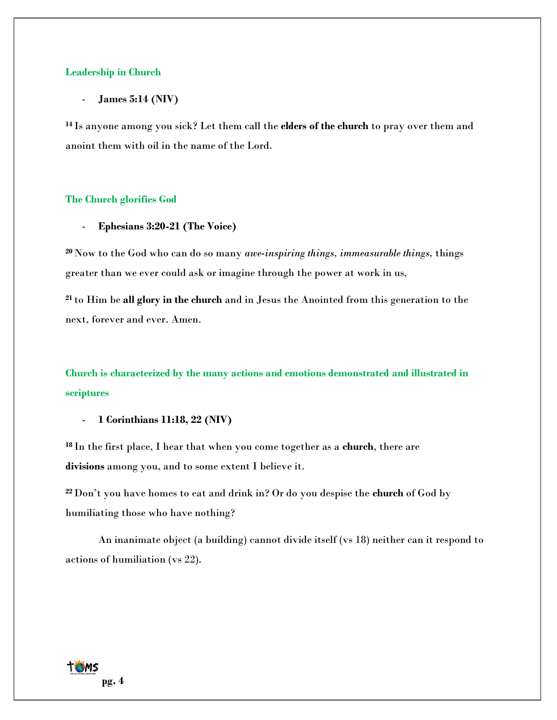#### **Leadership in Church**

- **James 5:14 (NIV)**

**<sup>14</sup>** Is anyone among you sick? Let them call the **elders of the church** to pray over them and anoint them with oil in the name of the Lord.

#### **The Church glorifies God**

- **Ephesians 3:20-21 (The Voice)**

**<sup>20</sup>** Now to the God who can do so many *awe-inspiring things, immeasurable things,* things greater than we ever could ask or imagine through the power at work in us,

**<sup>21</sup>** to Him be **all glory in the church** and in Jesus the Anointed from this generation to the next, forever and ever. Amen.

**Church is characterized by the many actions and emotions demonstrated and illustrated in scriptures**

- **1 Corinthians 11:18, 22 (NIV)**

**<sup>18</sup>** In the first place, I hear that when you come together as a **church**, there are **divisions** among you, and to some extent I believe it.

**<sup>22</sup>** Don't you have homes to eat and drink in? Or do you despise the **church** of God by humiliating those who have nothing?

An inanimate object (a building) cannot divide itself (vs 18) neither can it respond to actions of humiliation (vs 22).

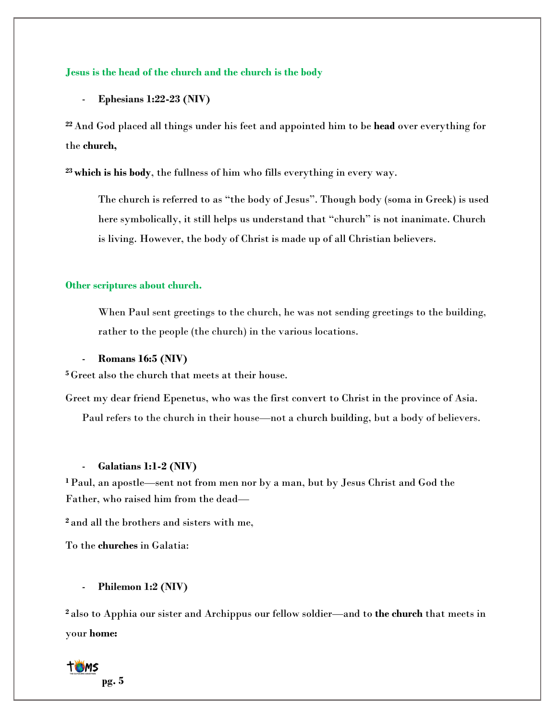# **Jesus is the head of the church and the church is the body**

- **Ephesians 1:22-23 (NIV)**

**<sup>22</sup>** And God placed all things under his feet and appointed him to be **head** over everything for the **church,**

**<sup>23</sup>which is his body**, the fullness of him who fills everything in every way.

The church is referred to as "the body of Jesus". Though body (soma in Greek) is used here symbolically, it still helps us understand that "church" is not inanimate. Church is living. However, the body of Christ is made up of all Christian believers.

#### **Other scriptures about church.**

When Paul sent greetings to the church, he was not sending greetings to the building, rather to the people (the church) in the various locations.

#### - **Romans 16:5 (NIV)**

**<sup>5</sup>** Greet also the church that meets at their house.

Greet my dear friend Epenetus, who was the first convert to Christ in the province of Asia. Paul refers to the church in their house—not a [church building,](https://www.gotquestions.org/church-building.html) but a body of believers.

# - **Galatians 1:1-2 (NIV)**

**<sup>1</sup>**Paul, an apostle—sent not from men nor by a man, but by Jesus Christ and God the Father, who raised him from the dead—

**<sup>2</sup>** and all the brothers and sisters with me,

To the **churches** in Galatia:

# - **Philemon 1:2 (NIV)**

**<sup>2</sup>** also to Apphia our sister and Archippus our fellow soldier—and to **the church** that meets in your **home:**